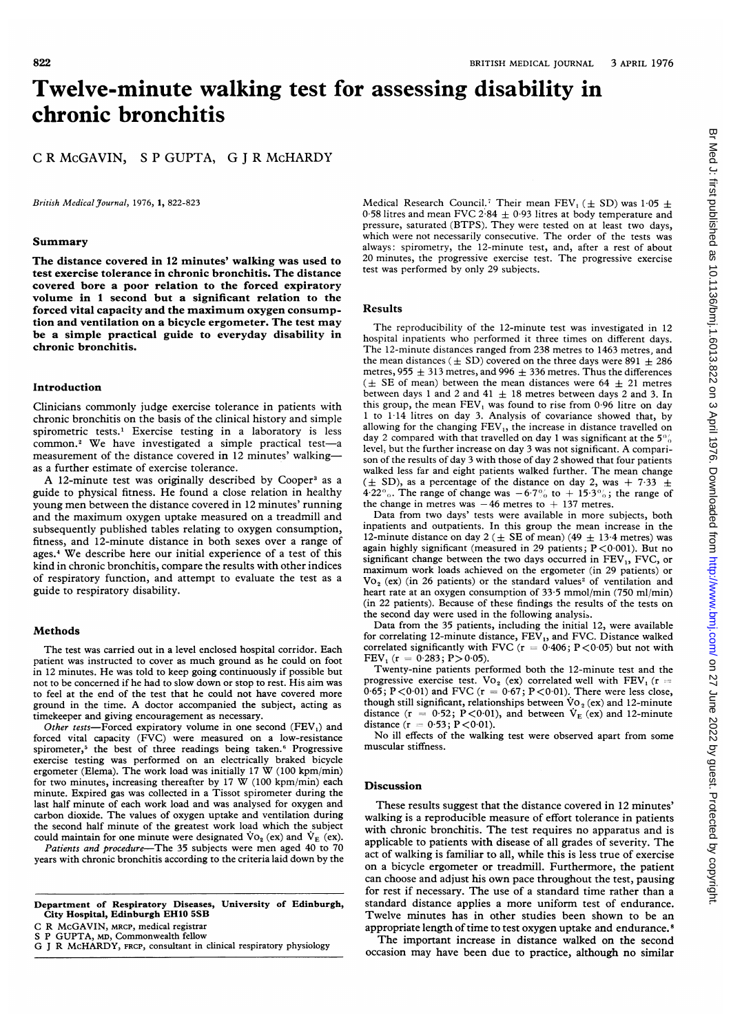# Twelve-minute walking test for assessing disability in chronic bronchitis

C R McGAVIN, <sup>S</sup> P GUPTA, G <sup>J</sup> R McHARDY

British Medical Journal, 1976, 1, 822-823

### Summary

The distance covered in 12 minutes' walking was used to test exercise tolerance in chronic bronchitis. The distance covered bore a poor relation to the forced expiratory volume in <sup>1</sup> second but a significant relation to the forced vital capacity and the maximum oxygen consumption and ventilation on <sup>a</sup> bicycle ergometer. The test may be a simple practical guide to everyday disability in chronic bronchitis.

## Introduction

Clinicians commonly judge exercise tolerance in patients with chronic bronchitis on the basis of the clinical history and simple spirometric tests.<sup>1</sup> Exercise testing in a laboratory is less common.<sup>2</sup> We have investigated a simple practical test-a measurement of the distance covered in 12 minutes' walkingas a further estimate of exercise tolerance.

A 12-minute test was originally described by Cooper<sup>3</sup> as a guide to physical fitness. He found <sup>a</sup> close relation in healthy young men between the distance covered in 12 minutes' running and the maximum oxygen uptake measured on <sup>a</sup> treadmill and subsequently published tables relating to oxygen consumption, fitness, and 12-minute distance in both sexes over a range of ages.4 We describe here our initial experience of <sup>a</sup> test of this kind in chronic bronchitis, compare the results with other indices of respiratory function, and attempt to evaluate the test as a guide to respiratory disability.

## Methods

The test was carried out in <sup>a</sup> level enclosed hospital corridor. Each patient was instructed to cover as much ground as he could on foot in <sup>12</sup> minutes. He was told to keep going continuously if possible but not to be concerned if he had to slow down or stop to rest. His aim was to feel at the end of the test that he could not have covered more ground in the time. A doctor accompanied the subject, acting as timekeeper and giving encouragement as necessary.

Other tests-Forced expiratory volume in one second  $(FEV<sub>1</sub>)$  and forced vital capacity (FVC) were measured on <sup>a</sup> low-resistance spirometer,<sup>5</sup> the best of three readings being taken.<sup>6</sup> Progressive exercise testing was performed on an electrically braked bicycle ergometer (Elema). The work load was initially <sup>17</sup> W (100 kpm/min) for two minutes, increasing thereafter by <sup>17</sup> W (100 kpm/min) each minute. Expired gas was collected in a Tissot spirometer during the last half minute of each work load and was analysed for oxygen and carbon dioxide. The values of oxygen uptake and ventilation during the second half minute of the greatest work load which the subject could maintain for one minute were designated  $\dot{V}_{O_2}$  (ex) and  $\dot{V}_{E}$  (ex).

Patients and procedure-The 35 subjects were men aged 40 to 70 years with chronic bronchitis according to the criteria laid down by the

Department of Respiratory Diseases, University of Edinburgh, City Hospital, Edinburgh EH10 5SB

C R McGAVIN, MRCP, medical registrar

GUPTA, MD, Commonwealth fellow

G <sup>J</sup> R McHARDY, FRCP, consultant in clinical respiratory physiology

Medical Research Council.<sup>7</sup> Their mean FEV<sub>1</sub> ( $\pm$  SD) was 1.05  $\pm$ 0.58 litres and mean FVC 2.84  $\pm$  0.93 litres at body temperature and pressure, saturated (BTPS). They were tested on at least two days, which were not necessarily consecutive. The order of the tests was always: spirometry, the 12-minute test, and, after a rest of about 20 minutes, the progressive exercise test. The progressive exercise test was performed by only 29 subjects.

# Results

The reproducibility of the 12-minute test was investigated in 12 hospital inpatients who performed it three times on different days. The 12-minute distances ranged from 238 metres to 1463 metres, and the mean distances ( $\pm$  SD) covered on the three days were 891  $\pm$  286 metres, 955  $\pm$  313 metres, and 996  $\pm$  336 metres. Thus the differences ( $\pm$  SE of mean) between the mean distances were 64  $\pm$  21 metres between days 1 and 2 and 41  $\pm$  18 metres between days 2 and 3. In this group, the mean  $FEV_1$  was found to rise from 0.96 litre on day <sup>1</sup> to 1-14 litres on day 3. Analysis of covariance showed that, by allowing for the changing FEV<sub>1</sub>, the increase in distance travelled on day 2 compared with that travelled on day 1 was significant at the  $5\%$ level, but the further increase on day <sup>3</sup> was not significant. A comparison of the results of day 3 with those of day 2 showed that four patients walked less far and eight patients walked further. The mean change  $(\pm$  SD), as a percentage of the distance on day 2, was + 7.33  $\pm$ 4.22 $\degree$ . The range of change was  $-6.7\%$  to  $+15.3\%$ ; the range of the change in metres was  $-46$  metres to  $+137$  metres.

Data from two days' tests were available in more subjects, both inpatients and outpatients. In this group the mean increase in the 12-minute distance on day 2 ( $\pm$  SE of mean) (49  $\pm$  13.4 metres) was again highly significant (measured in 29 patients;  $P < 0.001$ ). But no significant change between the two days occurred in  $FEV<sub>1</sub>$ , FVC, or maximum work loads achieved on the ergometer (in 29 patients) or  $Vo<sub>2</sub>$  (ex) (in 26 patients) or the standard values<sup>2</sup> of ventilation and heart rate at an oxygen consumption of 33-5 mmol/min (750 ml/min) (in 22 patients). Because of these findings the results of the tests on the second day were used in the following analysis.

Data from the 35 patients, including the initial 12, were available for correlating 12-minute distance, FEV,, and FVC. Distance walked correlated significantly with FVC ( $r = 0.406$ ; P < 0.05) but not with FEV,  $(r = 0.283; P > 0.05)$ .

Twenty-nine patients performed both the 12-minute test and the progressive exercise test. Vo<sub>2</sub> (ex) correlated well with FEV<sub>1</sub> (r = 0.65; P < 0.01) and FVC ( $r = 0.67$ ; P < 0.01). There were less close, though still significant, relationships between  $\rm{Vo}_2$  (ex) and 12-minute distance ( $r = 0.52$ ; P<0.01), and between  $V_E$  (ex) and 12-minute distance  $(r = 0.53; P < 0.01)$ .

No ill effects of the walking test were observed apart from some muscular stiffness.

# Discussion

These results suggest that the distance covered in 12 minutes' walking is a reproducible measure of effort tolerance in patients with chronic bronchitis. The test requires no apparatus and is applicable to patients with disease of all grades of severity. The act of walking is familiar to all, while this is less true of exercise on a bicycle ergometer or treadmill. Furthermore, the patient can choose and adjust his own pace throughout the test, pausing for rest if necessary. The use of <sup>a</sup> standard time rather than <sup>a</sup> standard distance applies a more uniform test of endurance. Twelve minutes has in other studies been shown to be an appropriate length of time to test oxygen uptake and endurance.8

The important increase in distance walked on the second occasion may have been due to practice, although no similar